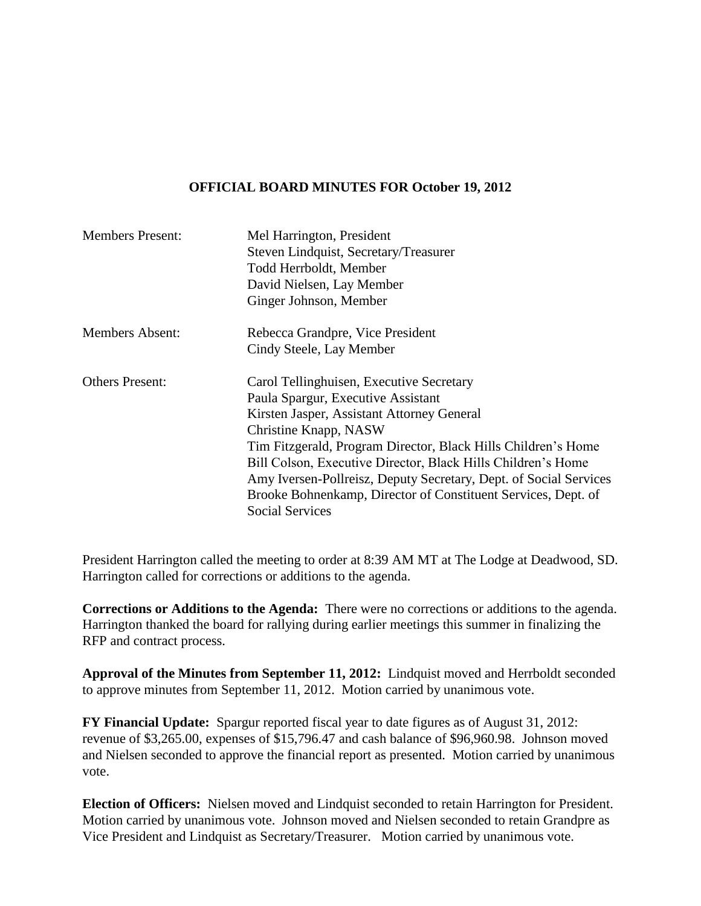### **OFFICIAL BOARD MINUTES FOR October 19, 2012**

| <b>Members Present:</b> | Mel Harrington, President                                                               |
|-------------------------|-----------------------------------------------------------------------------------------|
|                         | Steven Lindquist, Secretary/Treasurer                                                   |
|                         | Todd Herrboldt, Member                                                                  |
|                         | David Nielsen, Lay Member                                                               |
|                         | Ginger Johnson, Member                                                                  |
| <b>Members Absent:</b>  | Rebecca Grandpre, Vice President                                                        |
|                         | Cindy Steele, Lay Member                                                                |
| <b>Others Present:</b>  | Carol Tellinghuisen, Executive Secretary                                                |
|                         | Paula Spargur, Executive Assistant                                                      |
|                         | Kirsten Jasper, Assistant Attorney General                                              |
|                         | Christine Knapp, NASW                                                                   |
|                         | Tim Fitzgerald, Program Director, Black Hills Children's Home                           |
|                         | Bill Colson, Executive Director, Black Hills Children's Home                            |
|                         | Amy Iversen-Pollreisz, Deputy Secretary, Dept. of Social Services                       |
|                         | Brooke Bohnenkamp, Director of Constituent Services, Dept. of<br><b>Social Services</b> |
|                         |                                                                                         |

President Harrington called the meeting to order at 8:39 AM MT at The Lodge at Deadwood, SD. Harrington called for corrections or additions to the agenda.

**Corrections or Additions to the Agenda:** There were no corrections or additions to the agenda. Harrington thanked the board for rallying during earlier meetings this summer in finalizing the RFP and contract process.

**Approval of the Minutes from September 11, 2012:** Lindquist moved and Herrboldt seconded to approve minutes from September 11, 2012. Motion carried by unanimous vote.

**FY Financial Update:** Spargur reported fiscal year to date figures as of August 31, 2012: revenue of \$3,265.00, expenses of \$15,796.47 and cash balance of \$96,960.98. Johnson moved and Nielsen seconded to approve the financial report as presented. Motion carried by unanimous vote.

**Election of Officers:** Nielsen moved and Lindquist seconded to retain Harrington for President. Motion carried by unanimous vote. Johnson moved and Nielsen seconded to retain Grandpre as Vice President and Lindquist as Secretary/Treasurer. Motion carried by unanimous vote.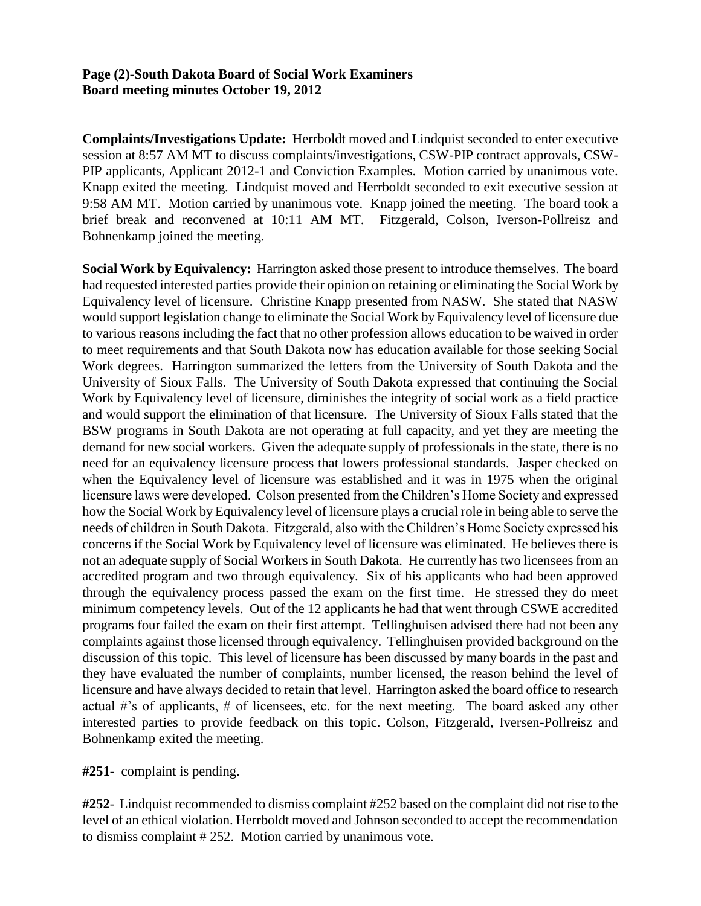#### **Page (2)-South Dakota Board of Social Work Examiners Board meeting minutes October 19, 2012**

**Complaints/Investigations Update:** Herrboldt moved and Lindquist seconded to enter executive session at 8:57 AM MT to discuss complaints/investigations, CSW-PIP contract approvals, CSW-PIP applicants, Applicant 2012-1 and Conviction Examples. Motion carried by unanimous vote. Knapp exited the meeting. Lindquist moved and Herrboldt seconded to exit executive session at 9:58 AM MT. Motion carried by unanimous vote. Knapp joined the meeting. The board took a brief break and reconvened at 10:11 AM MT. Fitzgerald, Colson, Iverson-Pollreisz and Bohnenkamp joined the meeting.

**Social Work by Equivalency:** Harrington asked those present to introduce themselves. The board had requested interested parties provide their opinion on retaining or eliminating the Social Work by Equivalency level of licensure. Christine Knapp presented from NASW. She stated that NASW would support legislation change to eliminate the Social Work by Equivalency level of licensure due to various reasons including the fact that no other profession allows education to be waived in order to meet requirements and that South Dakota now has education available for those seeking Social Work degrees. Harrington summarized the letters from the University of South Dakota and the University of Sioux Falls. The University of South Dakota expressed that continuing the Social Work by Equivalency level of licensure, diminishes the integrity of social work as a field practice and would support the elimination of that licensure. The University of Sioux Falls stated that the BSW programs in South Dakota are not operating at full capacity, and yet they are meeting the demand for new social workers. Given the adequate supply of professionals in the state, there is no need for an equivalency licensure process that lowers professional standards. Jasper checked on when the Equivalency level of licensure was established and it was in 1975 when the original licensure laws were developed. Colson presented from the Children's Home Society and expressed how the Social Work by Equivalency level of licensure plays a crucial role in being able to serve the needs of children in South Dakota. Fitzgerald, also with the Children's Home Society expressed his concerns if the Social Work by Equivalency level of licensure was eliminated. He believes there is not an adequate supply of Social Workers in South Dakota. He currently has two licensees from an accredited program and two through equivalency. Six of his applicants who had been approved through the equivalency process passed the exam on the first time. He stressed they do meet minimum competency levels. Out of the 12 applicants he had that went through CSWE accredited programs four failed the exam on their first attempt. Tellinghuisen advised there had not been any complaints against those licensed through equivalency. Tellinghuisen provided background on the discussion of this topic. This level of licensure has been discussed by many boards in the past and they have evaluated the number of complaints, number licensed, the reason behind the level of licensure and have always decided to retain that level. Harrington asked the board office to research actual #'s of applicants, # of licensees, etc. for the next meeting. The board asked any other interested parties to provide feedback on this topic. Colson, Fitzgerald, Iversen-Pollreisz and Bohnenkamp exited the meeting.

**#251**- complaint is pending.

**#252**- Lindquist recommended to dismiss complaint #252 based on the complaint did not rise to the level of an ethical violation. Herrboldt moved and Johnson seconded to accept the recommendation to dismiss complaint # 252. Motion carried by unanimous vote.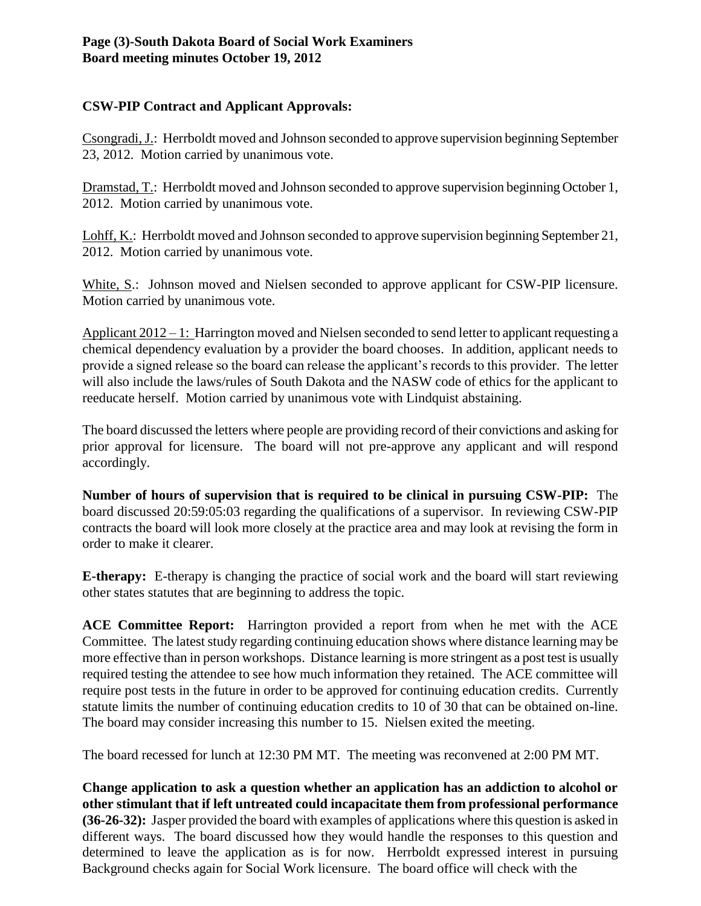# **Page (3)-South Dakota Board of Social Work Examiners Board meeting minutes October 19, 2012**

## **CSW-PIP Contract and Applicant Approvals:**

Csongradi, J.: Herrboldt moved and Johnson seconded to approve supervision beginning September 23, 2012. Motion carried by unanimous vote.

Dramstad, T.: Herrboldt moved and Johnson seconded to approve supervision beginning October 1, 2012. Motion carried by unanimous vote.

Lohff, K.: Herrboldt moved and Johnson seconded to approve supervision beginning September 21, 2012. Motion carried by unanimous vote.

White, S.: Johnson moved and Nielsen seconded to approve applicant for CSW-PIP licensure. Motion carried by unanimous vote.

Applicant 2012 – 1: Harrington moved and Nielsen seconded to send letter to applicant requesting a chemical dependency evaluation by a provider the board chooses. In addition, applicant needs to provide a signed release so the board can release the applicant's records to this provider. The letter will also include the laws/rules of South Dakota and the NASW code of ethics for the applicant to reeducate herself. Motion carried by unanimous vote with Lindquist abstaining.

The board discussed the letters where people are providing record of their convictions and asking for prior approval for licensure. The board will not pre-approve any applicant and will respond accordingly.

**Number of hours of supervision that is required to be clinical in pursuing CSW-PIP:** The board discussed 20:59:05:03 regarding the qualifications of a supervisor. In reviewing CSW-PIP contracts the board will look more closely at the practice area and may look at revising the form in order to make it clearer.

**E-therapy:** E-therapy is changing the practice of social work and the board will start reviewing other states statutes that are beginning to address the topic.

**ACE Committee Report:** Harrington provided a report from when he met with the ACE Committee. The latest study regarding continuing education shows where distance learning may be more effective than in person workshops. Distance learning is more stringent as a post test is usually required testing the attendee to see how much information they retained. The ACE committee will require post tests in the future in order to be approved for continuing education credits. Currently statute limits the number of continuing education credits to 10 of 30 that can be obtained on-line. The board may consider increasing this number to 15. Nielsen exited the meeting.

The board recessed for lunch at 12:30 PM MT. The meeting was reconvened at 2:00 PM MT.

**Change application to ask a question whether an application has an addiction to alcohol or other stimulant that if left untreated could incapacitate them from professional performance (36-26-32):** Jasper provided the board with examples of applications where this question is asked in different ways. The board discussed how they would handle the responses to this question and determined to leave the application as is for now. Herrboldt expressed interest in pursuing Background checks again for Social Work licensure. The board office will check with the